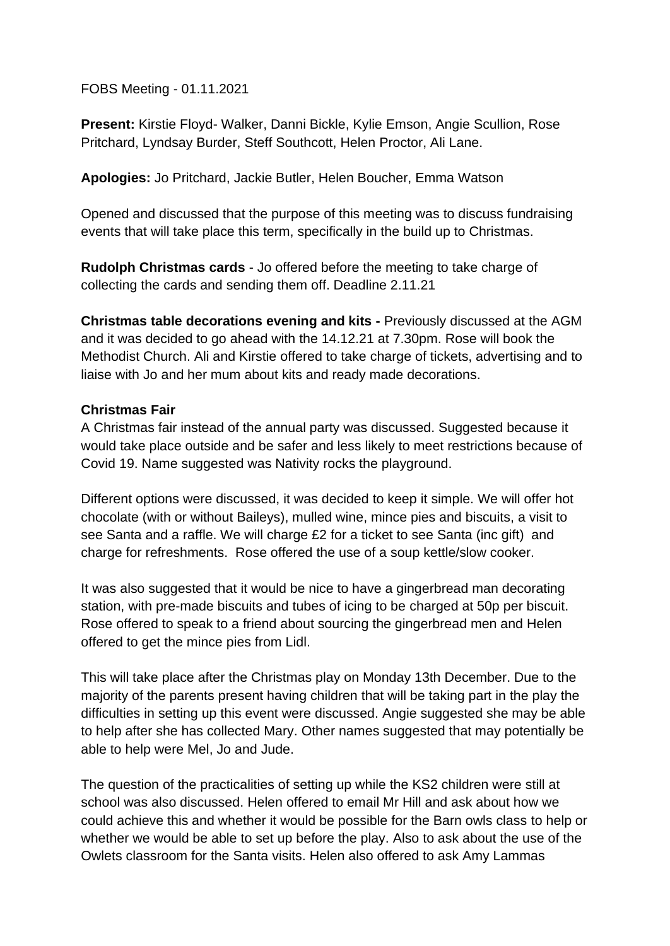FOBS Meeting - 01.11.2021

**Present:** Kirstie Floyd- Walker, Danni Bickle, Kylie Emson, Angie Scullion, Rose Pritchard, Lyndsay Burder, Steff Southcott, Helen Proctor, Ali Lane.

**Apologies:** Jo Pritchard, Jackie Butler, Helen Boucher, Emma Watson

Opened and discussed that the purpose of this meeting was to discuss fundraising events that will take place this term, specifically in the build up to Christmas.

**Rudolph Christmas cards** - Jo offered before the meeting to take charge of collecting the cards and sending them off. Deadline 2.11.21

**Christmas table decorations evening and kits -** Previously discussed at the AGM and it was decided to go ahead with the 14.12.21 at 7.30pm. Rose will book the Methodist Church. Ali and Kirstie offered to take charge of tickets, advertising and to liaise with Jo and her mum about kits and ready made decorations.

### **Christmas Fair**

A Christmas fair instead of the annual party was discussed. Suggested because it would take place outside and be safer and less likely to meet restrictions because of Covid 19. Name suggested was Nativity rocks the playground.

Different options were discussed, it was decided to keep it simple. We will offer hot chocolate (with or without Baileys), mulled wine, mince pies and biscuits, a visit to see Santa and a raffle. We will charge £2 for a ticket to see Santa (inc gift) and charge for refreshments. Rose offered the use of a soup kettle/slow cooker.

It was also suggested that it would be nice to have a gingerbread man decorating station, with pre-made biscuits and tubes of icing to be charged at 50p per biscuit. Rose offered to speak to a friend about sourcing the gingerbread men and Helen offered to get the mince pies from Lidl.

This will take place after the Christmas play on Monday 13th December. Due to the majority of the parents present having children that will be taking part in the play the difficulties in setting up this event were discussed. Angie suggested she may be able to help after she has collected Mary. Other names suggested that may potentially be able to help were Mel, Jo and Jude.

The question of the practicalities of setting up while the KS2 children were still at school was also discussed. Helen offered to email Mr Hill and ask about how we could achieve this and whether it would be possible for the Barn owls class to help or whether we would be able to set up before the play. Also to ask about the use of the Owlets classroom for the Santa visits. Helen also offered to ask Amy Lammas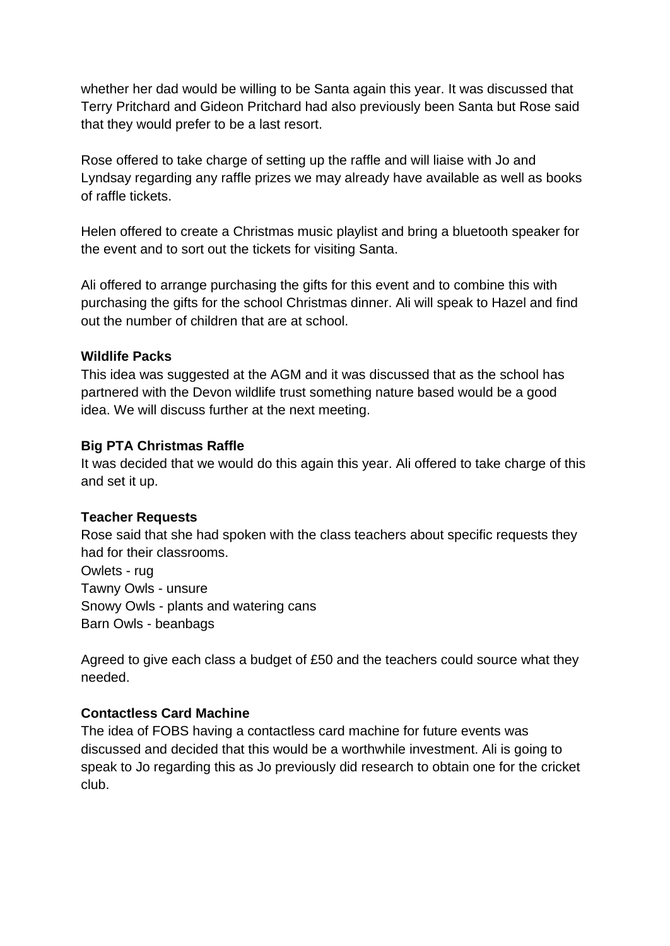whether her dad would be willing to be Santa again this year. It was discussed that Terry Pritchard and Gideon Pritchard had also previously been Santa but Rose said that they would prefer to be a last resort.

Rose offered to take charge of setting up the raffle and will liaise with Jo and Lyndsay regarding any raffle prizes we may already have available as well as books of raffle tickets.

Helen offered to create a Christmas music playlist and bring a bluetooth speaker for the event and to sort out the tickets for visiting Santa.

Ali offered to arrange purchasing the gifts for this event and to combine this with purchasing the gifts for the school Christmas dinner. Ali will speak to Hazel and find out the number of children that are at school.

### **Wildlife Packs**

This idea was suggested at the AGM and it was discussed that as the school has partnered with the Devon wildlife trust something nature based would be a good idea. We will discuss further at the next meeting.

# **Big PTA Christmas Raffle**

It was decided that we would do this again this year. Ali offered to take charge of this and set it up.

# **Teacher Requests**

Rose said that she had spoken with the class teachers about specific requests they had for their classrooms.

Owlets - rug Tawny Owls - unsure Snowy Owls - plants and watering cans Barn Owls - beanbags

Agreed to give each class a budget of £50 and the teachers could source what they needed.

# **Contactless Card Machine**

The idea of FOBS having a contactless card machine for future events was discussed and decided that this would be a worthwhile investment. Ali is going to speak to Jo regarding this as Jo previously did research to obtain one for the cricket club.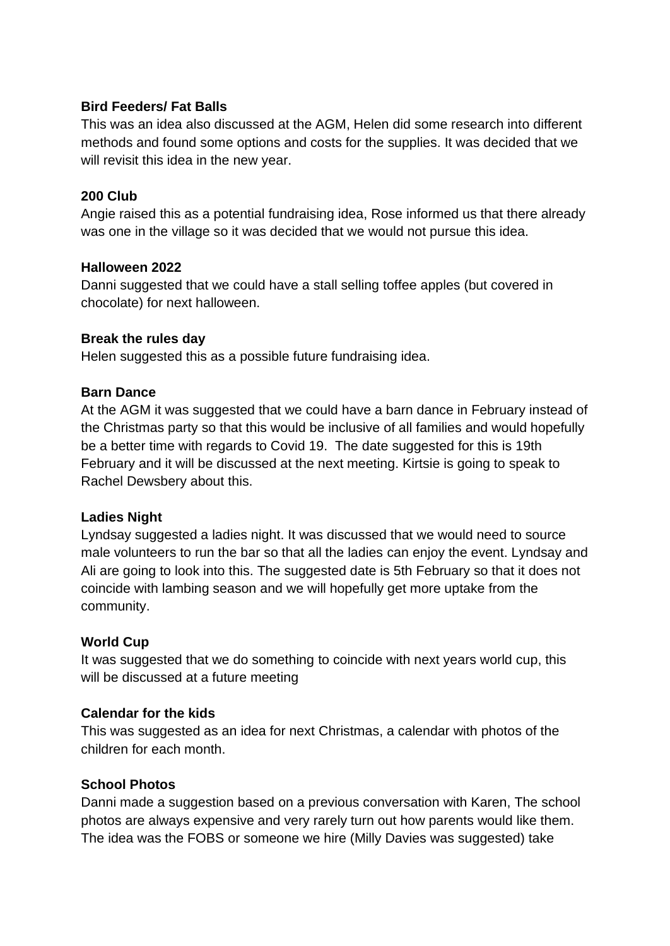## **Bird Feeders/ Fat Balls**

This was an idea also discussed at the AGM, Helen did some research into different methods and found some options and costs for the supplies. It was decided that we will revisit this idea in the new year.

## **200 Club**

Angie raised this as a potential fundraising idea, Rose informed us that there already was one in the village so it was decided that we would not pursue this idea.

#### **Halloween 2022**

Danni suggested that we could have a stall selling toffee apples (but covered in chocolate) for next halloween.

### **Break the rules day**

Helen suggested this as a possible future fundraising idea.

### **Barn Dance**

At the AGM it was suggested that we could have a barn dance in February instead of the Christmas party so that this would be inclusive of all families and would hopefully be a better time with regards to Covid 19. The date suggested for this is 19th February and it will be discussed at the next meeting. Kirtsie is going to speak to Rachel Dewsbery about this.

#### **Ladies Night**

Lyndsay suggested a ladies night. It was discussed that we would need to source male volunteers to run the bar so that all the ladies can enjoy the event. Lyndsay and Ali are going to look into this. The suggested date is 5th February so that it does not coincide with lambing season and we will hopefully get more uptake from the community.

#### **World Cup**

It was suggested that we do something to coincide with next years world cup, this will be discussed at a future meeting

# **Calendar for the kids**

This was suggested as an idea for next Christmas, a calendar with photos of the children for each month.

# **School Photos**

Danni made a suggestion based on a previous conversation with Karen, The school photos are always expensive and very rarely turn out how parents would like them. The idea was the FOBS or someone we hire (Milly Davies was suggested) take